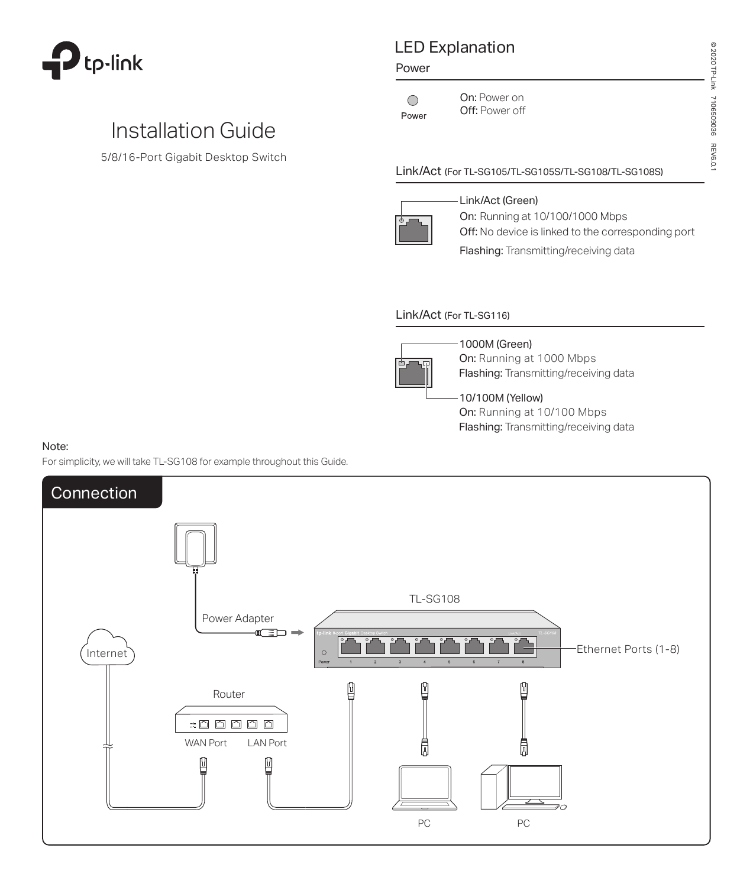

# Installation Guide

5/8/16-Port Gigabit Desktop Switch

# LED Explanation

#### Power

On: Power on  $\bigcirc$ Power

Off: Power off

© 2020 TP-Link 7106509036 REV6.0.1

71065099015

**REV6.0.1** 

@ 2020 TP-Link

### Link/Act (For TL-SG105/TL-SG105S/TL-SG108/TL-SG108S)



Link/Act (Green) **On:** Running at 10/100/1000 Mbps Off: No device is linked to the corresponding port Flashing: Transmitting/receiving data

### Link/Act (For TL-SG116)



1000M (Green) On: Running at 1000 Mbps

Flashing: Transmitting/receiving data

## 10/100M (Yellow)

On: Running at 10/100 Mbps Flashing: Transmitting/receiving data

#### Note:

For simplicity, we will take TL-SG108 for example throughout this Guide.